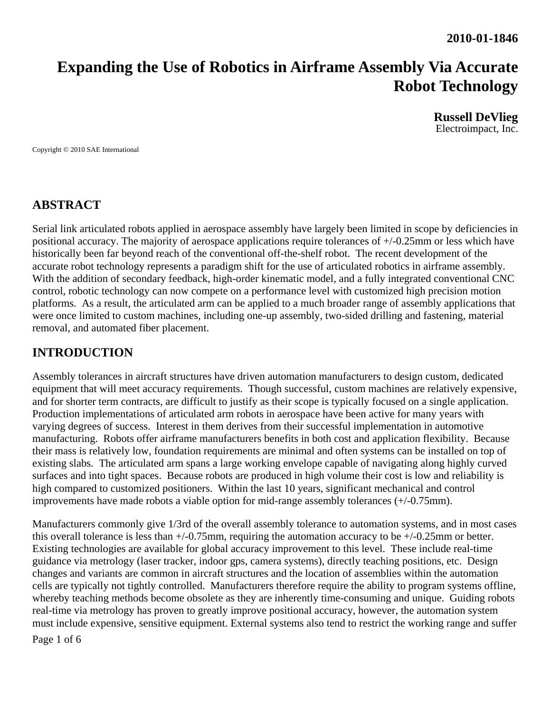#### **2010-01-1846**

# **Expanding the Use of Robotics in Airframe Assembly Via Accurate Robot Technology**

**Russell DeVlieg**  Electroimpact, Inc.

Copyright © 2010 SAE International

#### **ABSTRACT**

Serial link articulated robots applied in aerospace assembly have largely been limited in scope by deficiencies in positional accuracy. The majority of aerospace applications require tolerances of +/-0.25mm or less which have historically been far beyond reach of the conventional off-the-shelf robot. The recent development of the accurate robot technology represents a paradigm shift for the use of articulated robotics in airframe assembly. With the addition of secondary feedback, high-order kinematic model, and a fully integrated conventional CNC control, robotic technology can now compete on a performance level with customized high precision motion platforms. As a result, the articulated arm can be applied to a much broader range of assembly applications that were once limited to custom machines, including one-up assembly, two-sided drilling and fastening, material removal, and automated fiber placement.

#### **INTRODUCTION**

Assembly tolerances in aircraft structures have driven automation manufacturers to design custom, dedicated equipment that will meet accuracy requirements. Though successful, custom machines are relatively expensive, and for shorter term contracts, are difficult to justify as their scope is typically focused on a single application. Production implementations of articulated arm robots in aerospace have been active for many years with varying degrees of success. Interest in them derives from their successful implementation in automotive manufacturing. Robots offer airframe manufacturers benefits in both cost and application flexibility. Because their mass is relatively low, foundation requirements are minimal and often systems can be installed on top of existing slabs. The articulated arm spans a large working envelope capable of navigating along highly curved surfaces and into tight spaces. Because robots are produced in high volume their cost is low and reliability is high compared to customized positioners. Within the last 10 years, significant mechanical and control improvements have made robots a viable option for mid-range assembly tolerances (+/-0.75mm).

Manufacturers commonly give 1/3rd of the overall assembly tolerance to automation systems, and in most cases this overall tolerance is less than  $+/-0.75$ mm, requiring the automation accuracy to be  $+/-0.25$ mm or better. Existing technologies are available for global accuracy improvement to this level. These include real-time guidance via metrology (laser tracker, indoor gps, camera systems), directly teaching positions, etc. Design changes and variants are common in aircraft structures and the location of assemblies within the automation cells are typically not tightly controlled. Manufacturers therefore require the ability to program systems offline, whereby teaching methods become obsolete as they are inherently time-consuming and unique. Guiding robots real-time via metrology has proven to greatly improve positional accuracy, however, the automation system must include expensive, sensitive equipment. External systems also tend to restrict the working range and suffer

Page 1 of 6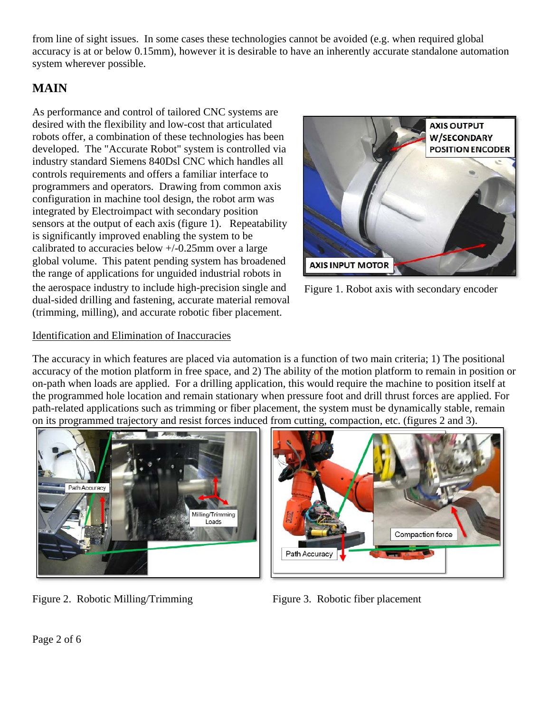from line of sight issues. In some cases these technologies cannot be avoided (e.g. when required global accuracy is at or below 0.15mm), however it is desirable to have an inherently accurate standalone automation system wherever possible.

# **MAIN**

As performance and control of tailored CNC systems are desired with the flexibility and low-cost that articulated robots offer, a combination of these technologies has been developed. The "Accurate Robot" system is controlled via industry standard Siemens 840Dsl CNC which handles all controls requirements and offers a familiar interface to programmers and operators. Drawing from common axis configuration in machine tool design, the robot arm was integrated by Electroimpact with secondary position sensors at the output of each axis (figure 1). Repeatability is significantly improved enabling the system to be calibrated to accuracies below +/-0.25mm over a large global volume. This patent pending system has broadened the range of applications for unguided industrial robots in the aerospace industry to include high-precision single and dual-sided drilling and fastening, accurate material removal (trimming, milling), and accurate robotic fiber placement.



Figure 1. Robot axis with secondary encoder

#### Identification and Elimination of Inaccuracies

The accuracy in which features are placed via automation is a function of two main criteria; 1) The positional accuracy of the motion platform in free space, and 2) The ability of the motion platform to remain in position or on-path when loads are applied. For a drilling application, this would require the machine to position itself at the programmed hole location and remain stationary when pressure foot and drill thrust forces are applied. For path-related applications such as trimming or fiber placement, the system must be dynamically stable, remain on its programmed trajectory and resist forces induced from cutting, compaction, etc. (figures 2 and 3).



Figure 2. Robotic Milling/Trimming Figure 3. Robotic fiber placement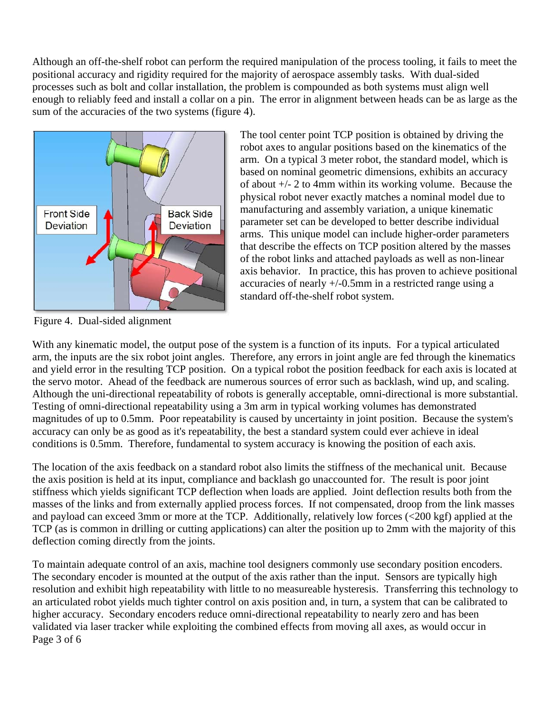Although an off-the-shelf robot can perform the required manipulation of the process tooling, it fails to meet the positional accuracy and rigidity required for the majority of aerospace assembly tasks. With dual-sided processes such as bolt and collar installation, the problem is compounded as both systems must align well enough to reliably feed and install a collar on a pin. The error in alignment between heads can be as large as the sum of the accuracies of the two systems (figure 4).



Figure 4. Dual-sided alignment

The tool center point TCP position is obtained by driving the robot axes to angular positions based on the kinematics of the arm. On a typical 3 meter robot, the standard model, which is based on nominal geometric dimensions, exhibits an accuracy of about +/- 2 to 4mm within its working volume. Because the physical robot never exactly matches a nominal model due to manufacturing and assembly variation, a unique kinematic parameter set can be developed to better describe individual arms. This unique model can include higher-order parameters that describe the effects on TCP position altered by the masses of the robot links and attached payloads as well as non-linear axis behavior. In practice, this has proven to achieve positional accuracies of nearly +/-0.5mm in a restricted range using a standard off-the-shelf robot system.

With any kinematic model, the output pose of the system is a function of its inputs. For a typical articulated arm, the inputs are the six robot joint angles. Therefore, any errors in joint angle are fed through the kinematics and yield error in the resulting TCP position. On a typical robot the position feedback for each axis is located at the servo motor. Ahead of the feedback are numerous sources of error such as backlash, wind up, and scaling. Although the uni-directional repeatability of robots is generally acceptable, omni-directional is more substantial. Testing of omni-directional repeatability using a 3m arm in typical working volumes has demonstrated magnitudes of up to 0.5mm. Poor repeatability is caused by uncertainty in joint position. Because the system's accuracy can only be as good as it's repeatability, the best a standard system could ever achieve in ideal conditions is 0.5mm. Therefore, fundamental to system accuracy is knowing the position of each axis.

The location of the axis feedback on a standard robot also limits the stiffness of the mechanical unit. Because the axis position is held at its input, compliance and backlash go unaccounted for. The result is poor joint stiffness which yields significant TCP deflection when loads are applied. Joint deflection results both from the masses of the links and from externally applied process forces. If not compensated, droop from the link masses and payload can exceed 3mm or more at the TCP. Additionally, relatively low forces (<200 kgf) applied at the TCP (as is common in drilling or cutting applications) can alter the position up to 2mm with the majority of this deflection coming directly from the joints.

Page 3 of 6 To maintain adequate control of an axis, machine tool designers commonly use secondary position encoders. The secondary encoder is mounted at the output of the axis rather than the input. Sensors are typically high resolution and exhibit high repeatability with little to no measureable hysteresis. Transferring this technology to an articulated robot yields much tighter control on axis position and, in turn, a system that can be calibrated to higher accuracy. Secondary encoders reduce omni-directional repeatability to nearly zero and has been validated via laser tracker while exploiting the combined effects from moving all axes, as would occur in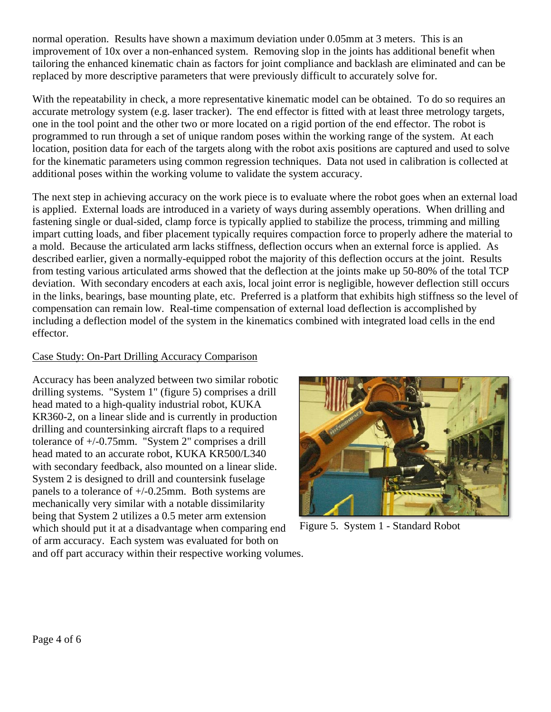normal operation. Results have shown a maximum deviation under 0.05mm at 3 meters. This is an improvement of 10x over a non-enhanced system. Removing slop in the joints has additional benefit when tailoring the enhanced kinematic chain as factors for joint compliance and backlash are eliminated and can be replaced by more descriptive parameters that were previously difficult to accurately solve for.

With the repeatability in check, a more representative kinematic model can be obtained. To do so requires an accurate metrology system (e.g. laser tracker). The end effector is fitted with at least three metrology targets, one in the tool point and the other two or more located on a rigid portion of the end effector. The robot is programmed to run through a set of unique random poses within the working range of the system. At each location, position data for each of the targets along with the robot axis positions are captured and used to solve for the kinematic parameters using common regression techniques. Data not used in calibration is collected at additional poses within the working volume to validate the system accuracy.

The next step in achieving accuracy on the work piece is to evaluate where the robot goes when an external load is applied. External loads are introduced in a variety of ways during assembly operations. When drilling and fastening single or dual-sided, clamp force is typically applied to stabilize the process, trimming and milling impart cutting loads, and fiber placement typically requires compaction force to properly adhere the material to a mold. Because the articulated arm lacks stiffness, deflection occurs when an external force is applied. As described earlier, given a normally-equipped robot the majority of this deflection occurs at the joint. Results from testing various articulated arms showed that the deflection at the joints make up 50-80% of the total TCP deviation. With secondary encoders at each axis, local joint error is negligible, however deflection still occurs in the links, bearings, base mounting plate, etc. Preferred is a platform that exhibits high stiffness so the level of compensation can remain low. Real-time compensation of external load deflection is accomplished by including a deflection model of the system in the kinematics combined with integrated load cells in the end effector.

#### Case Study: On-Part Drilling Accuracy Comparison

Accuracy has been analyzed between two similar robotic drilling systems. "System 1" (figure 5) comprises a drill head mated to a high-quality industrial robot, KUKA KR360-2, on a linear slide and is currently in production drilling and countersinking aircraft flaps to a required tolerance of +/-0.75mm. "System 2" comprises a drill head mated to an accurate robot, KUKA KR500/L340 with secondary feedback, also mounted on a linear slide. System 2 is designed to drill and countersink fuselage panels to a tolerance of +/-0.25mm. Both systems are mechanically very similar with a notable dissimilarity being that System 2 utilizes a 0.5 meter arm extension which should put it at a disadvantage when comparing end of arm accuracy. Each system was evaluated for both on and off part accuracy within their respective working volumes.



Figure 5. System 1 - Standard Robot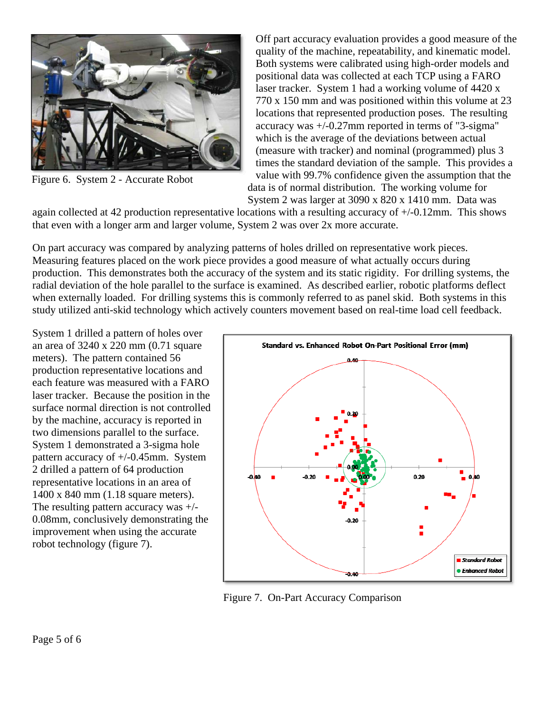

Figure 6. System 2 - Accurate Robot

Off part accuracy evaluation provides a good measure of the quality of the machine, repeatability, and kinematic model. Both systems were calibrated using high-order models and positional data was collected at each TCP using a FARO laser tracker. System 1 had a working volume of 4420 x 770 x 150 mm and was positioned within this volume at 23 locations that represented production poses. The resulting accuracy was +/-0.27mm reported in terms of "3-sigma" which is the average of the deviations between actual (measure with tracker) and nominal (programmed) plus 3 times the standard deviation of the sample. This provides a value with 99.7% confidence given the assumption that the data is of normal distribution. The working volume for System 2 was larger at 3090 x 820 x 1410 mm. Data was

again collected at 42 production representative locations with a resulting accuracy of +/-0.12mm. This shows that even with a longer arm and larger volume, System 2 was over 2x more accurate.

On part accuracy was compared by analyzing patterns of holes drilled on representative work pieces. Measuring features placed on the work piece provides a good measure of what actually occurs during production. This demonstrates both the accuracy of the system and its static rigidity. For drilling systems, the radial deviation of the hole parallel to the surface is examined. As described earlier, robotic platforms deflect when externally loaded. For drilling systems this is commonly referred to as panel skid. Both systems in this study utilized anti-skid technology which actively counters movement based on real-time load cell feedback.

System 1 drilled a pattern of holes over an area of 3240 x 220 mm (0.71 square meters). The pattern contained 56 production representative locations and each feature was measured with a FARO laser tracker. Because the position in the surface normal direction is not controlled by the machine, accuracy is reported in two dimensions parallel to the surface. System 1 demonstrated a 3-sigma hole pattern accuracy of +/-0.45mm. System 2 drilled a pattern of 64 production representative locations in an area of 1400 x 840 mm (1.18 square meters). The resulting pattern accuracy was +/- 0.08mm, conclusively demonstrating the improvement when using the accurate robot technology (figure 7).



Figure 7. On-Part Accuracy Comparison